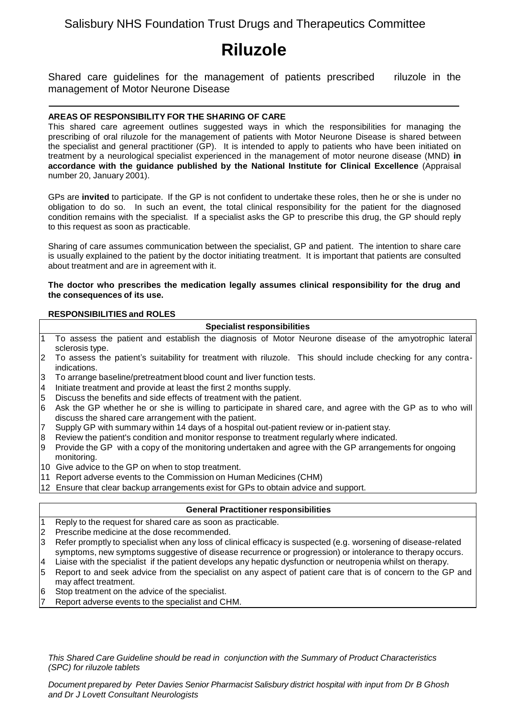# Salisbury NHS Foundation Trust Drugs and Therapeutics Committee

# **Riluzole**

Shared care guidelines for the management of patients prescribed riluzole in the management of Motor Neurone Disease

# **AREAS OF RESPONSIBILITY FOR THE SHARING OF CARE**

This shared care agreement outlines suggested ways in which the responsibilities for managing the prescribing of oral riluzole for the management of patients with Motor Neurone Disease is shared between the specialist and general practitioner (GP). It is intended to apply to patients who have been initiated on treatment by a neurological specialist experienced in the management of motor neurone disease (MND) **in accordance with the guidance published by the National Institute for Clinical Excellence** (Appraisal number 20, January 2001).

GPs are **invited** to participate. If the GP is not confident to undertake these roles, then he or she is under no obligation to do so. In such an event, the total clinical responsibility for the patient for the diagnosed condition remains with the specialist. If a specialist asks the GP to prescribe this drug, the GP should reply to this request as soon as practicable.

Sharing of care assumes communication between the specialist, GP and patient. The intention to share care is usually explained to the patient by the doctor initiating treatment. It is important that patients are consulted about treatment and are in agreement with it.

#### **The doctor who prescribes the medication legally assumes clinical responsibility for the drug and the consequences of its use.**

# **RESPONSIBILITIES and ROLES**

#### **Specialist responsibilities**

- 1 To assess the patient and establish the diagnosis of Motor Neurone disease of the amyotrophic lateral sclerosis type.
- 2 To assess the patient's suitability for treatment with riluzole. This should include checking for any contraindications.
- 3 To arrange baseline/pretreatment blood count and liver function tests.
- 4 Initiate treatment and provide at least the first 2 months supply.
- 5 Discuss the benefits and side effects of treatment with the patient.
- 6 Ask the GP whether he or she is willing to participate in shared care, and agree with the GP as to who will discuss the shared care arrangement with the patient.
- 7 Supply GP with summary within 14 days of a hospital out-patient review or in-patient stay.
- 8 Review the patient's condition and monitor response to treatment regularly where indicated.
- 9 Provide the GP with a copy of the monitoring undertaken and agree with the GP arrangements for ongoing monitoring.
- 10 Give advice to the GP on when to stop treatment.
- 11 Report adverse events to the Commission on Human Medicines (CHM)
- 12 Ensure that clear backup arrangements exist for GPs to obtain advice and support.

# **General Practitioner responsibilities**

- 1 Reply to the request for shared care as soon as practicable.
- 2 Prescribe medicine at the dose recommended.
- 3 Refer promptly to specialist when any loss of clinical efficacy is suspected (e.g. worsening of disease-related symptoms, new symptoms suggestive of disease recurrence or progression) or intolerance to therapy occurs.
- 4 Liaise with the specialist if the patient develops any hepatic dysfunction or neutropenia whilst on therapy.
- 5 Report to and seek advice from the specialist on any aspect of patient care that is of concern to the GP and may affect treatment.
- 6 Stop treatment on the advice of the specialist.
- Report adverse events to the specialist and CHM.

*This Shared Care Guideline should be read in conjunction with the Summary of Product Characteristics (SPC) for riluzole tablets*

*Document prepared by Peter Davies Senior Pharmacist Salisbury district hospital with input from Dr B Ghosh and Dr J Lovett Consultant Neurologists*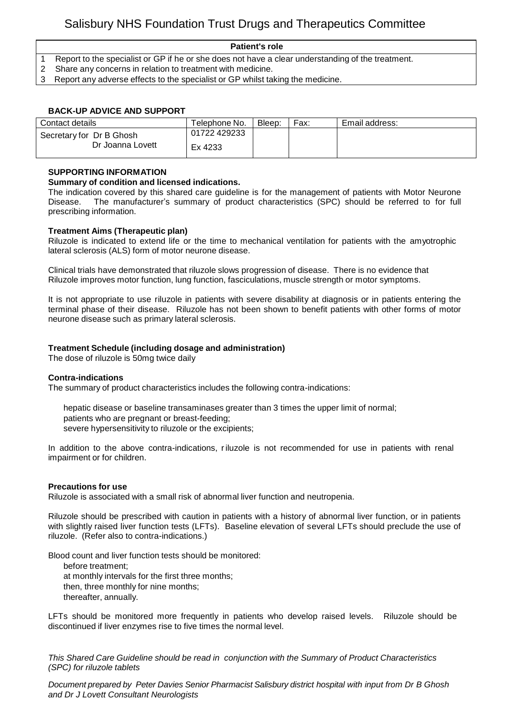#### **Patient's role**

- 1 Report to the specialist or GP if he or she does not have a clear understanding of the treatment.
- 2 Share any concerns in relation to treatment with medicine.
- 3 Report any adverse effects to the specialist or GP whilst taking the medicine.

# **BACK-UP ADVICE AND SUPPORT**

| Contact details                              | Telephone No. | Bleep: | Fax: | Email address: |
|----------------------------------------------|---------------|--------|------|----------------|
| Secretary for Dr B Ghosh<br>Dr Joanna Lovett | 01722 429233  |        |      |                |
|                                              | Ex 4233       |        |      |                |

#### **SUPPORTING INFORMATION**

### **Summary of condition and licensed indications.**

The indication covered by this shared care guideline is for the management of patients with Motor Neurone Disease. The manufacturer's summary of product characteristics (SPC) should be referred to for full prescribing information.

#### **Treatment Aims (Therapeutic plan)**

Riluzole is indicated to extend life or the time to mechanical ventilation for patients with the amyotrophic lateral sclerosis (ALS) form of motor neurone disease.

Clinical trials have demonstrated that riluzole slows progression of disease. There is no evidence that Riluzole improves motor function, lung function, fasciculations, muscle strength or motor symptoms.

It is not appropriate to use riluzole in patients with severe disability at diagnosis or in patients entering the terminal phase of their disease. Riluzole has not been shown to benefit patients with other forms of motor neurone disease such as primary lateral sclerosis.

#### **Treatment Schedule (including dosage and administration)**

The dose of riluzole is 50mg twice daily

#### **Contra-indications**

The summary of product characteristics includes the following contra-indications:

hepatic disease or baseline transaminases greater than 3 times the upper limit of normal; patients who are pregnant or breast-feeding; severe hypersensitivity to riluzole or the excipients;

In addition to the above contra-indications, riluzole is not recommended for use in patients with renal impairment or for children.

#### **Precautions for use**

Riluzole is associated with a small risk of abnormal liver function and neutropenia.

Riluzole should be prescribed with caution in patients with a history of abnormal liver function, or in patients with slightly raised liver function tests (LFTs). Baseline elevation of several LFTs should preclude the use of riluzole. (Refer also to contra-indications.)

Blood count and liver function tests should be monitored:

before treatment; at monthly intervals for the first three months; then, three monthly for nine months; thereafter, annually.

LFTs should be monitored more frequently in patients who develop raised levels. Riluzole should be discontinued if liver enzymes rise to five times the normal level.

*This Shared Care Guideline should be read in conjunction with the Summary of Product Characteristics (SPC) for riluzole tablets*

*Document prepared by Peter Davies Senior Pharmacist Salisbury district hospital with input from Dr B Ghosh and Dr J Lovett Consultant Neurologists*